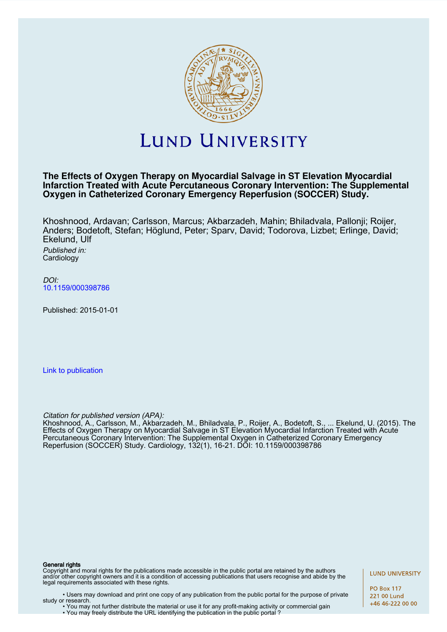

# **LUND UNIVERSITY**

#### **The Effects of Oxygen Therapy on Myocardial Salvage in ST Elevation Myocardial Infarction Treated with Acute Percutaneous Coronary Intervention: The Supplemental Oxygen in Catheterized Coronary Emergency Reperfusion (SOCCER) Study.**

Khoshnood, Ardavan; Carlsson, Marcus; Akbarzadeh, Mahin; Bhiladvala, Pallonji; Roijer, Anders; Bodetoft, Stefan; Höglund, Peter; Sparv, David; Todorova, Lizbet; Erlinge, David; Ekelund, Ulf Published in: **Cardiology** 

DOI: [10.1159/000398786](http://dx.doi.org/10.1159/000398786)

Published: 2015-01-01

[Link to publication](http://portal.research.lu.se/portal/en/publications/the-effects-of-oxygen-therapy-on-myocardial-salvage-in-st-elevation-myocardial-infarction-treated-with-acute-percutaneous-coronary-intervention-the-supplemental-oxygen-in-catheterized-coronary-emergency-reperfusion-soccer-study(6c78c2c7-1f7a-49b1-8d6d-42708360fb4c).html)

Citation for published version (APA):

Khoshnood, A., Carlsson, M., Akbarzadeh, M., Bhiladvala, P., Roijer, A., Bodetoft, S., ... Ekelund, U. (2015). The Effects of Oxygen Therapy on Myocardial Salvage in ST Elevation Myocardial Infarction Treated with Acute Percutaneous Coronary Intervention: The Supplemental Oxygen in Catheterized Coronary Emergency Reperfusion (SOCCER) Study. Cardiology, 132(1), 16-21. DOI: 10.1159/000398786

#### General rights

Copyright and moral rights for the publications made accessible in the public portal are retained by the authors and/or other copyright owners and it is a condition of accessing publications that users recognise and abide by the legal requirements associated with these rights.

 • Users may download and print one copy of any publication from the public portal for the purpose of private study or research.

 • You may not further distribute the material or use it for any profit-making activity or commercial gain • You may freely distribute the URL identifying the publication in the public portal ?

**LUND UNIVERSITY** 

**PO Box 117** 221 00 Lund +46 46-222 00 00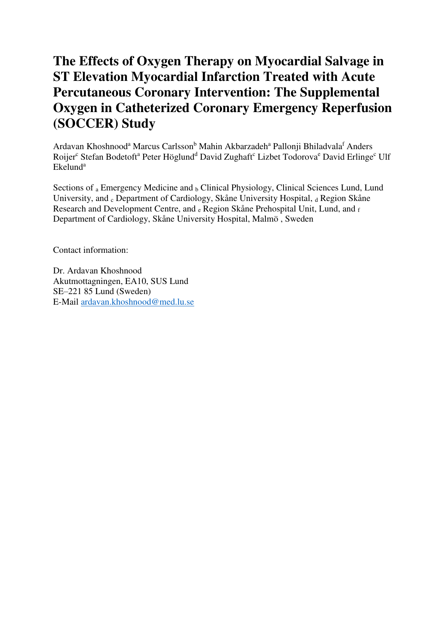## **The Effects of Oxygen Therapy on Myocardial Salvage in ST Elevation Myocardial Infarction Treated with Acute Percutaneous Coronary Intervention: The Supplemental Oxygen in Catheterized Coronary Emergency Reperfusion (SOCCER) Study**

Ardavan Khoshnood<sup>a</sup> Marcus Carlsson<sup>b</sup> Mahin Akbarzadeh<sup>a</sup> Pallonji Bhiladvala<sup>f</sup> Anders Roijer<sup>c</sup> Stefan Bodetoft<sup>a</sup> Peter Höglund<sup>d</sup> David Zughaft<sup>c</sup> Lizbet Todorova<sup>e</sup> David Erlinge<sup>c</sup> Ulf Ekelund a

Sections of a Emergency Medicine and b Clinical Physiology, Clinical Sciences Lund, Lund University, and c Department of Cardiology, Skåne University Hospital, d Region Skåne Research and Development Centre, and  $_{\rm e}$  Region Skåne Prehospital Unit, Lund, and  $_{\rm f}$ Department of Cardiology, Skåne University Hospital, Malmö , Sweden

Contact information:

Dr. Ardavan Khoshnood Akutmottagningen, EA10, SUS Lund SE–221 85 Lund (Sweden) E-Mail [ardavan.khoshnood@med.lu.se](mailto:ardavan.khoshnood@med.lu.se)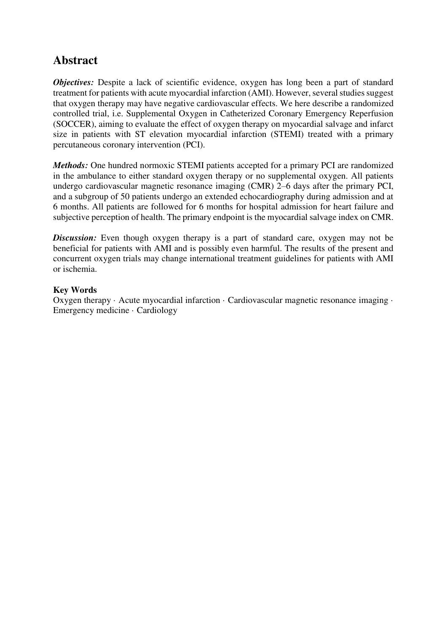## **Abstract**

*Objectives:* Despite a lack of scientific evidence, oxygen has long been a part of standard treatment for patients with acute myocardial infarction (AMI). However, several studies suggest that oxygen therapy may have negative cardiovascular effects. We here describe a randomized controlled trial, i.e. Supplemental Oxygen in Catheterized Coronary Emergency Reperfusion (SOCCER), aiming to evaluate the effect of oxygen therapy on myocardial salvage and infarct size in patients with ST elevation myocardial infarction (STEMI) treated with a primary percutaneous coronary intervention (PCI).

*Methods:* One hundred normoxic STEMI patients accepted for a primary PCI are randomized in the ambulance to either standard oxygen therapy or no supplemental oxygen. All patients undergo cardiovascular magnetic resonance imaging (CMR) 2–6 days after the primary PCI, and a subgroup of 50 patients undergo an extended echocardiography during admission and at 6 months. All patients are followed for 6 months for hospital admission for heart failure and subjective perception of health. The primary endpoint is the myocardial salvage index on CMR.

*Discussion:* Even though oxygen therapy is a part of standard care, oxygen may not be beneficial for patients with AMI and is possibly even harmful. The results of the present and concurrent oxygen trials may change international treatment guidelines for patients with AMI or ischemia.

## **Key Words**

Oxygen therapy · Acute myocardial infarction · Cardiovascular magnetic resonance imaging · Emergency medicine · Cardiology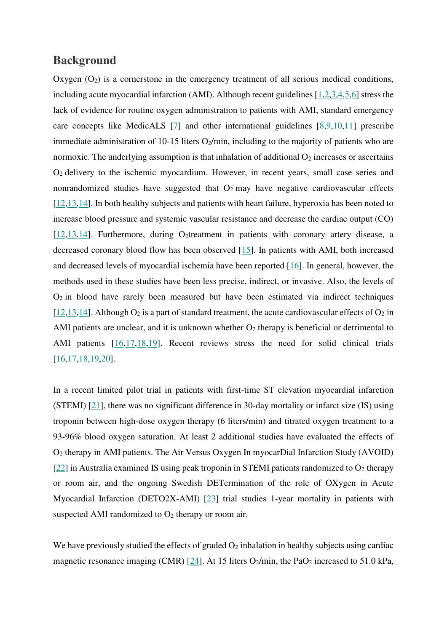## **Background**

Oxygen  $(O_2)$  is a cornerstone in the emergency treatment of all serious medical conditions, including acute myocardial infarction (AMI). Although recent guidelines [\[1,](http://www.karger.com.ludwig.lub.lu.se/Article/FullText/398786#ref1)[2,](http://www.karger.com.ludwig.lub.lu.se/Article/FullText/398786#ref2)[3,](http://www.karger.com.ludwig.lub.lu.se/Article/FullText/398786#ref3)[4,](http://www.karger.com.ludwig.lub.lu.se/Article/FullText/398786#ref4)[5,](http://www.karger.com.ludwig.lub.lu.se/Article/FullText/398786#ref5)[6\]](http://www.karger.com.ludwig.lub.lu.se/Article/FullText/398786#ref6) stress the lack of evidence for routine oxygen administration to patients with AMI, standard emergency care concepts like MedicALS [\[7\]](http://www.karger.com.ludwig.lub.lu.se/Article/FullText/398786#ref7) and other international guidelines [\[8](http://www.karger.com.ludwig.lub.lu.se/Article/FullText/398786#ref8)[,9](http://www.karger.com.ludwig.lub.lu.se/Article/FullText/398786#ref9)[,10](http://www.karger.com.ludwig.lub.lu.se/Article/FullText/398786#ref10)[,11\]](http://www.karger.com.ludwig.lub.lu.se/Article/FullText/398786#ref11) prescribe immediate administration of 10-15 liters  $O_2/m$ in, including to the majority of patients who are normoxic. The underlying assumption is that inhalation of additional  $O_2$  increases or ascertains O2 delivery to the ischemic myocardium. However, in recent years, small case series and nonrandomized studies have suggested that  $O_2$  may have negative cardiovascular effects [\[12,](http://www.karger.com.ludwig.lub.lu.se/Article/FullText/398786#ref12)[13,](http://www.karger.com.ludwig.lub.lu.se/Article/FullText/398786#ref13)[14\]](http://www.karger.com.ludwig.lub.lu.se/Article/FullText/398786#ref14). In both healthy subjects and patients with heart failure, hyperoxia has been noted to increase blood pressure and systemic vascular resistance and decrease the cardiac output (CO) [\[12,](http://www.karger.com.ludwig.lub.lu.se/Article/FullText/398786#ref12)[13,](http://www.karger.com.ludwig.lub.lu.se/Article/FullText/398786#ref13)[14\]](http://www.karger.com.ludwig.lub.lu.se/Article/FullText/398786#ref14). Furthermore, during  $O<sub>2</sub>$  treatment in patients with coronary artery disease, a decreased coronary blood flow has been observed [\[15\]](http://www.karger.com.ludwig.lub.lu.se/Article/FullText/398786#ref15). In patients with AMI, both increased and decreased levels of myocardial ischemia have been reported [\[16\]](http://www.karger.com.ludwig.lub.lu.se/Article/FullText/398786#ref16). In general, however, the methods used in these studies have been less precise, indirect, or invasive. Also, the levels of  $O<sub>2</sub>$  in blood have rarely been measured but have been estimated via indirect techniques [\[12,](http://www.karger.com.ludwig.lub.lu.se/Article/FullText/398786#ref12)[13,](http://www.karger.com.ludwig.lub.lu.se/Article/FullText/398786#ref13)[14\]](http://www.karger.com.ludwig.lub.lu.se/Article/FullText/398786#ref14). Although  $O_2$  is a part of standard treatment, the acute cardiovascular effects of  $O_2$  in AMI patients are unclear, and it is unknown whether  $O_2$  therapy is beneficial or detrimental to AMI patients [\[16](http://www.karger.com.ludwig.lub.lu.se/Article/FullText/398786#ref16)[,17](http://www.karger.com.ludwig.lub.lu.se/Article/FullText/398786#ref17)[,18](http://www.karger.com.ludwig.lub.lu.se/Article/FullText/398786#ref18)[,19\]](http://www.karger.com.ludwig.lub.lu.se/Article/FullText/398786#ref19). Recent reviews stress the need for solid clinical trials  $[16, 17, 18, 19, 20]$  $[16, 17, 18, 19, 20]$  $[16, 17, 18, 19, 20]$  $[16, 17, 18, 19, 20]$  $[16, 17, 18, 19, 20]$  $[16, 17, 18, 19, 20]$  $[16, 17, 18, 19, 20]$  $[16, 17, 18, 19, 20]$  $[16, 17, 18, 19, 20]$ .

In a recent limited pilot trial in patients with first-time ST elevation myocardial infarction (STEMI) [\[21\]](http://www.karger.com.ludwig.lub.lu.se/Article/FullText/398786#ref21), there was no significant difference in 30-day mortality or infarct size (IS) using troponin between high-dose oxygen therapy (6 liters/min) and titrated oxygen treatment to a 93-96% blood oxygen saturation. At least 2 additional studies have evaluated the effects of O2 therapy in AMI patients. The Air Versus Oxygen In myocarDial Infarction Study (AVOID) [\[22\]](http://www.karger.com.ludwig.lub.lu.se/Article/FullText/398786#ref22) in Australia examined IS using peak troponin in STEMI patients randomized to  $O_2$  therapy or room air, and the ongoing Swedish DETermination of the role of OXygen in Acute Myocardial Infarction (DETO2X-AMI) [\[23\]](http://www.karger.com.ludwig.lub.lu.se/Article/FullText/398786#ref23) trial studies 1-year mortality in patients with suspected AMI randomized to  $O_2$  therapy or room air.

We have previously studied the effects of graded  $O_2$  inhalation in healthy subjects using cardiac magnetic resonance imaging (CMR) [\[24\]](http://www.karger.com.ludwig.lub.lu.se/Article/FullText/398786#ref24). At 15 liters  $O_2$ /min, the Pa $O_2$  increased to 51.0 kPa,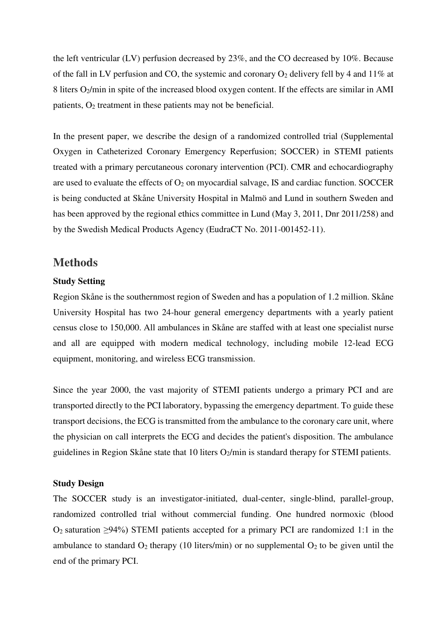the left ventricular (LV) perfusion decreased by 23%, and the CO decreased by 10%. Because of the fall in LV perfusion and CO, the systemic and coronary  $O_2$  delivery fell by 4 and 11% at 8 liters O2/min in spite of the increased blood oxygen content. If the effects are similar in AMI patients, O<sup>2</sup> treatment in these patients may not be beneficial.

In the present paper, we describe the design of a randomized controlled trial (Supplemental Oxygen in Catheterized Coronary Emergency Reperfusion; SOCCER) in STEMI patients treated with a primary percutaneous coronary intervention (PCI). CMR and echocardiography are used to evaluate the effects of  $O_2$  on myocardial salvage, IS and cardiac function. SOCCER is being conducted at Skåne University Hospital in Malmö and Lund in southern Sweden and has been approved by the regional ethics committee in Lund (May 3, 2011, Dnr 2011/258) and by the Swedish Medical Products Agency (EudraCT No. 2011-001452-11).

## **Methods**

#### **Study Setting**

Region Skåne is the southernmost region of Sweden and has a population of 1.2 million. Skåne University Hospital has two 24-hour general emergency departments with a yearly patient census close to 150,000. All ambulances in Skåne are staffed with at least one specialist nurse and all are equipped with modern medical technology, including mobile 12-lead ECG equipment, monitoring, and wireless ECG transmission.

Since the year 2000, the vast majority of STEMI patients undergo a primary PCI and are transported directly to the PCI laboratory, bypassing the emergency department. To guide these transport decisions, the ECG is transmitted from the ambulance to the coronary care unit, where the physician on call interprets the ECG and decides the patient's disposition. The ambulance guidelines in Region Skåne state that 10 liters O<sub>2</sub>/min is standard therapy for STEMI patients.

#### **Study Design**

The SOCCER study is an investigator-initiated, dual-center, single-blind, parallel-group, randomized controlled trial without commercial funding. One hundred normoxic (blood  $O_2$  saturation  $\geq$ 94%) STEMI patients accepted for a primary PCI are randomized 1:1 in the ambulance to standard  $O_2$  therapy (10 liters/min) or no supplemental  $O_2$  to be given until the end of the primary PCI.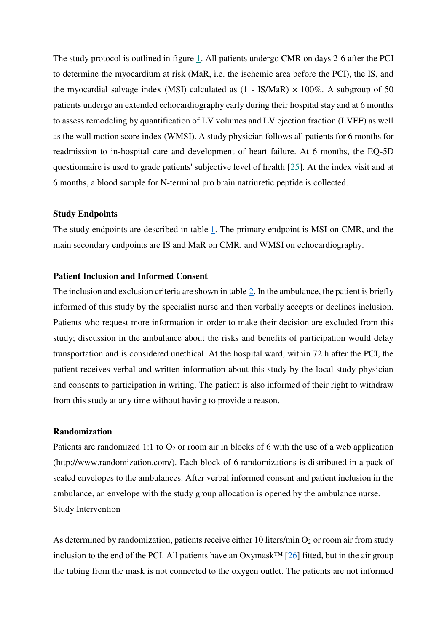The study protocol is outlined in figure [1.](http://www.karger.com.ludwig.lub.lu.se/Article/FullText/398786#F01) All patients undergo CMR on days 2-6 after the PCI to determine the myocardium at risk (MaR, i.e. the ischemic area before the PCI), the IS, and the myocardial salvage index (MSI) calculated as  $(1 - IS/MaR) \times 100\%$ . A subgroup of 50 patients undergo an extended echocardiography early during their hospital stay and at 6 months to assess remodeling by quantification of LV volumes and LV ejection fraction (LVEF) as well as the wall motion score index (WMSI). A study physician follows all patients for 6 months for readmission to in-hospital care and development of heart failure. At 6 months, the EQ-5D questionnaire is used to grade patients' subjective level of health [\[25\]](http://www.karger.com.ludwig.lub.lu.se/Article/FullText/398786#ref25). At the index visit and at 6 months, a blood sample for N-terminal pro brain natriuretic peptide is collected.

#### **Study Endpoints**

The study endpoints are described in table [1.](http://www.karger.com.ludwig.lub.lu.se/Article/FullText/398786#T01) The primary endpoint is MSI on CMR, and the main secondary endpoints are IS and MaR on CMR, and WMSI on echocardiography.

#### **Patient Inclusion and Informed Consent**

The inclusion and exclusion criteria are shown in table [2.](http://www.karger.com.ludwig.lub.lu.se/Article/FullText/398786#T02) In the ambulance, the patient is briefly informed of this study by the specialist nurse and then verbally accepts or declines inclusion. Patients who request more information in order to make their decision are excluded from this study; discussion in the ambulance about the risks and benefits of participation would delay transportation and is considered unethical. At the hospital ward, within 72 h after the PCI, the patient receives verbal and written information about this study by the local study physician and consents to participation in writing. The patient is also informed of their right to withdraw from this study at any time without having to provide a reason.

#### **Randomization**

Patients are randomized 1:1 to  $O_2$  or room air in blocks of 6 with the use of a web application (http://www.randomization.com/). Each block of 6 randomizations is distributed in a pack of sealed envelopes to the ambulances. After verbal informed consent and patient inclusion in the ambulance, an envelope with the study group allocation is opened by the ambulance nurse. Study Intervention

As determined by randomization, patients receive either 10 liters/min  $O_2$  or room air from study inclusion to the end of the PCI. All patients have an Oxymask™ [[26\]](http://www.karger.com.ludwig.lub.lu.se/Article/FullText/398786#ref26) fitted, but in the air group the tubing from the mask is not connected to the oxygen outlet. The patients are not informed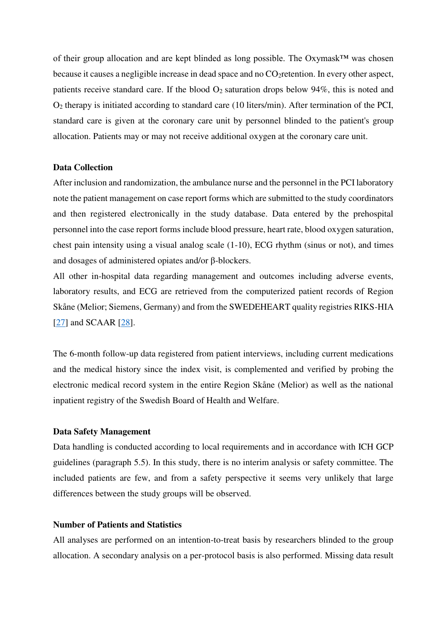of their group allocation and are kept blinded as long possible. The Oxymask™ was chosen because it causes a negligible increase in dead space and no  $CO<sub>2</sub>$  retention. In every other aspect, patients receive standard care. If the blood  $O_2$  saturation drops below 94%, this is noted and O2 therapy is initiated according to standard care (10 liters/min). After termination of the PCI, standard care is given at the coronary care unit by personnel blinded to the patient's group allocation. Patients may or may not receive additional oxygen at the coronary care unit.

#### **Data Collection**

After inclusion and randomization, the ambulance nurse and the personnel in the PCI laboratory note the patient management on case report forms which are submitted to the study coordinators and then registered electronically in the study database. Data entered by the prehospital personnel into the case report forms include blood pressure, heart rate, blood oxygen saturation, chest pain intensity using a visual analog scale (1-10), ECG rhythm (sinus or not), and times and dosages of administered opiates and/or β-blockers.

All other in-hospital data regarding management and outcomes including adverse events, laboratory results, and ECG are retrieved from the computerized patient records of Region Skåne (Melior; Siemens, Germany) and from the SWEDEHEART quality registries RIKS-HIA [\[27\]](http://www.karger.com.ludwig.lub.lu.se/Article/FullText/398786#ref27) and SCAAR [\[28\]](http://www.karger.com.ludwig.lub.lu.se/Article/FullText/398786#ref28).

The 6-month follow-up data registered from patient interviews, including current medications and the medical history since the index visit, is complemented and verified by probing the electronic medical record system in the entire Region Skåne (Melior) as well as the national inpatient registry of the Swedish Board of Health and Welfare.

#### **Data Safety Management**

Data handling is conducted according to local requirements and in accordance with ICH GCP guidelines (paragraph 5.5). In this study, there is no interim analysis or safety committee. The included patients are few, and from a safety perspective it seems very unlikely that large differences between the study groups will be observed.

#### **Number of Patients and Statistics**

All analyses are performed on an intention-to-treat basis by researchers blinded to the group allocation. A secondary analysis on a per-protocol basis is also performed. Missing data result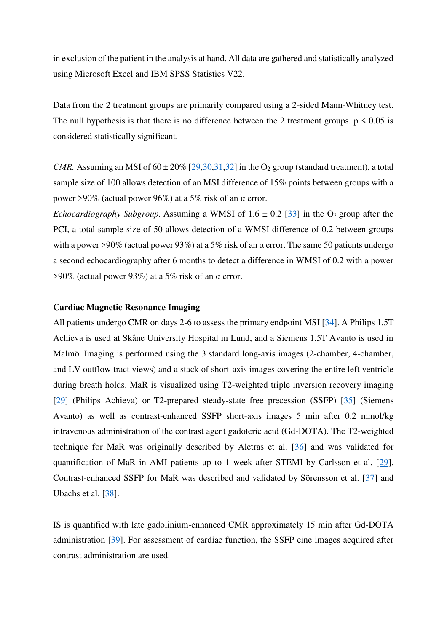in exclusion of the patient in the analysis at hand. All data are gathered and statistically analyzed using Microsoft Excel and IBM SPSS Statistics V22.

Data from the 2 treatment groups are primarily compared using a 2-sided Mann-Whitney test. The null hypothesis is that there is no difference between the 2 treatment groups.  $p \le 0.05$  is considered statistically significant.

*CMR.* Assuming an MSI of  $60 \pm 20\%$  [ $29,30,31,32$  $29,30,31,32$  $29,30,31,32$  $29,30,31,32$ ] in the O<sub>2</sub> group (standard treatment), a total sample size of 100 allows detection of an MSI difference of 15% points between groups with a power >90% (actual power 96%) at a 5% risk of an α error.

*Echocardiography Subgroup.* Assuming a WMSI of  $1.6 \pm 0.2$  [\[33\]](http://www.karger.com.ludwig.lub.lu.se/Article/FullText/398786#ref33) in the O<sub>2</sub> group after the PCI, a total sample size of 50 allows detection of a WMSI difference of 0.2 between groups with a power >90% (actual power  $93\%$ ) at a 5% risk of an  $\alpha$  error. The same 50 patients undergo a second echocardiography after 6 months to detect a difference in WMSI of 0.2 with a power >90% (actual power 93%) at a 5% risk of an α error.

#### **Cardiac Magnetic Resonance Imaging**

All patients undergo CMR on days 2-6 to assess the primary endpoint MSI [\[34\]](http://www.karger.com.ludwig.lub.lu.se/Article/FullText/398786#ref34). A Philips 1.5T Achieva is used at Skåne University Hospital in Lund, and a Siemens 1.5T Avanto is used in Malmö. Imaging is performed using the 3 standard long-axis images (2-chamber, 4-chamber, and LV outflow tract views) and a stack of short-axis images covering the entire left ventricle during breath holds. MaR is visualized using T2-weighted triple inversion recovery imaging [\[29\]](http://www.karger.com.ludwig.lub.lu.se/Article/FullText/398786#ref29) (Philips Achieva) or T2-prepared steady-state free precession (SSFP) [\[35\]](http://www.karger.com.ludwig.lub.lu.se/Article/FullText/398786#ref35) (Siemens Avanto) as well as contrast-enhanced SSFP short-axis images 5 min after 0.2 mmol/kg intravenous administration of the contrast agent gadoteric acid (Gd-DOTA). The T2-weighted technique for MaR was originally described by Aletras et al. [\[36\]](http://www.karger.com.ludwig.lub.lu.se/Article/FullText/398786#ref36) and was validated for quantification of MaR in AMI patients up to 1 week after STEMI by Carlsson et al. [\[29\]](http://www.karger.com.ludwig.lub.lu.se/Article/FullText/398786#ref29). Contrast-enhanced SSFP for MaR was described and validated by Sörensson et al. [\[37\]](http://www.karger.com.ludwig.lub.lu.se/Article/FullText/398786#ref37) and Ubachs et al. [\[38\]](http://www.karger.com.ludwig.lub.lu.se/Article/FullText/398786#ref38).

IS is quantified with late gadolinium-enhanced CMR approximately 15 min after Gd-DOTA administration [\[39\]](http://www.karger.com.ludwig.lub.lu.se/Article/FullText/398786#ref39). For assessment of cardiac function, the SSFP cine images acquired after contrast administration are used.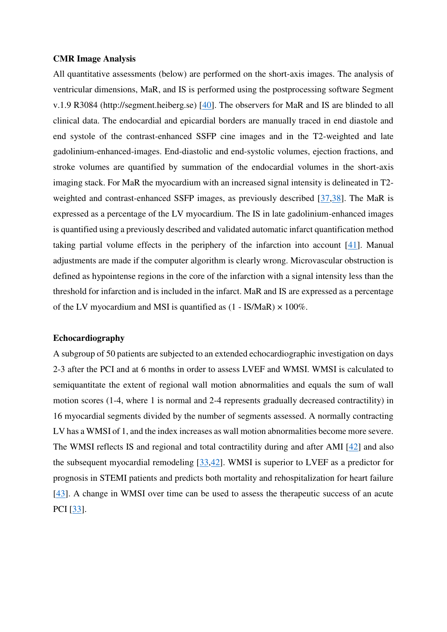#### **CMR Image Analysis**

All quantitative assessments (below) are performed on the short-axis images. The analysis of ventricular dimensions, MaR, and IS is performed using the postprocessing software Segment v.1.9 R3084 (http://segment.heiberg.se) [\[40\]](http://www.karger.com.ludwig.lub.lu.se/Article/FullText/398786#ref40). The observers for MaR and IS are blinded to all clinical data. The endocardial and epicardial borders are manually traced in end diastole and end systole of the contrast-enhanced SSFP cine images and in the T2-weighted and late gadolinium-enhanced-images. End-diastolic and end-systolic volumes, ejection fractions, and stroke volumes are quantified by summation of the endocardial volumes in the short-axis imaging stack. For MaR the myocardium with an increased signal intensity is delineated in T2 weighted and contrast-enhanced SSFP images, as previously described [\[37](http://www.karger.com.ludwig.lub.lu.se/Article/FullText/398786#ref37)[,38\]](http://www.karger.com.ludwig.lub.lu.se/Article/FullText/398786#ref38). The MaR is expressed as a percentage of the LV myocardium. The IS in late gadolinium-enhanced images is quantified using a previously described and validated automatic infarct quantification method taking partial volume effects in the periphery of the infarction into account [\[41\]](http://www.karger.com.ludwig.lub.lu.se/Article/FullText/398786#ref41). Manual adjustments are made if the computer algorithm is clearly wrong. Microvascular obstruction is defined as hypointense regions in the core of the infarction with a signal intensity less than the threshold for infarction and is included in the infarct. MaR and IS are expressed as a percentage of the LV myocardium and MSI is quantified as  $(1 - IS/MaR) \times 100\%$ .

#### **Echocardiography**

A subgroup of 50 patients are subjected to an extended echocardiographic investigation on days 2-3 after the PCI and at 6 months in order to assess LVEF and WMSI. WMSI is calculated to semiquantitate the extent of regional wall motion abnormalities and equals the sum of wall motion scores (1-4, where 1 is normal and 2-4 represents gradually decreased contractility) in 16 myocardial segments divided by the number of segments assessed. A normally contracting LV has a WMSI of 1, and the index increases as wall motion abnormalities become more severe. The WMSI reflects IS and regional and total contractility during and after AMI [\[42\]](http://www.karger.com.ludwig.lub.lu.se/Article/FullText/398786#ref42) and also the subsequent myocardial remodeling [\[33,](http://www.karger.com.ludwig.lub.lu.se/Article/FullText/398786#ref33)[42\]](http://www.karger.com.ludwig.lub.lu.se/Article/FullText/398786#ref42). WMSI is superior to LVEF as a predictor for prognosis in STEMI patients and predicts both mortality and rehospitalization for heart failure [\[43\]](http://www.karger.com.ludwig.lub.lu.se/Article/FullText/398786#ref43). A change in WMSI over time can be used to assess the therapeutic success of an acute PCI [\[33\]](http://www.karger.com.ludwig.lub.lu.se/Article/FullText/398786#ref33).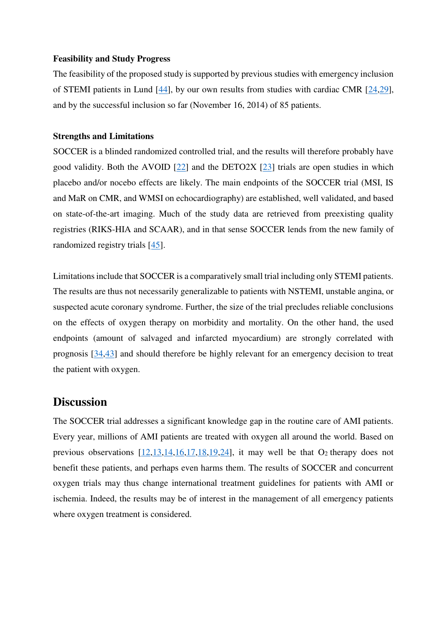#### **Feasibility and Study Progress**

The feasibility of the proposed study is supported by previous studies with emergency inclusion of STEMI patients in Lund [\[44\]](http://www.karger.com.ludwig.lub.lu.se/Article/FullText/398786#ref44), by our own results from studies with cardiac CMR [\[24](http://www.karger.com.ludwig.lub.lu.se/Article/FullText/398786#ref24)[,29\]](http://www.karger.com.ludwig.lub.lu.se/Article/FullText/398786#ref29), and by the successful inclusion so far (November 16, 2014) of 85 patients.

#### **Strengths and Limitations**

SOCCER is a blinded randomized controlled trial, and the results will therefore probably have good validity. Both the AVOID  $[22]$  and the DETO2X  $[23]$  trials are open studies in which placebo and/or nocebo effects are likely. The main endpoints of the SOCCER trial (MSI, IS and MaR on CMR, and WMSI on echocardiography) are established, well validated, and based on state-of-the-art imaging. Much of the study data are retrieved from preexisting quality registries (RIKS-HIA and SCAAR), and in that sense SOCCER lends from the new family of randomized registry trials [\[45\]](http://www.karger.com.ludwig.lub.lu.se/Article/FullText/398786#ref45).

Limitations include that SOCCER is a comparatively small trial including only STEMI patients. The results are thus not necessarily generalizable to patients with NSTEMI, unstable angina, or suspected acute coronary syndrome. Further, the size of the trial precludes reliable conclusions on the effects of oxygen therapy on morbidity and mortality. On the other hand, the used endpoints (amount of salvaged and infarcted myocardium) are strongly correlated with prognosis [\[34,](http://www.karger.com.ludwig.lub.lu.se/Article/FullText/398786#ref34)[43\]](http://www.karger.com.ludwig.lub.lu.se/Article/FullText/398786#ref43) and should therefore be highly relevant for an emergency decision to treat the patient with oxygen.

### **Discussion**

The SOCCER trial addresses a significant knowledge gap in the routine care of AMI patients. Every year, millions of AMI patients are treated with oxygen all around the world. Based on previous observations  $[12,13,14,16,17,18,19,24]$  $[12,13,14,16,17,18,19,24]$  $[12,13,14,16,17,18,19,24]$  $[12,13,14,16,17,18,19,24]$  $[12,13,14,16,17,18,19,24]$  $[12,13,14,16,17,18,19,24]$  $[12,13,14,16,17,18,19,24]$  $[12,13,14,16,17,18,19,24]$ , it may well be that  $O_2$  therapy does not benefit these patients, and perhaps even harms them. The results of SOCCER and concurrent oxygen trials may thus change international treatment guidelines for patients with AMI or ischemia. Indeed, the results may be of interest in the management of all emergency patients where oxygen treatment is considered.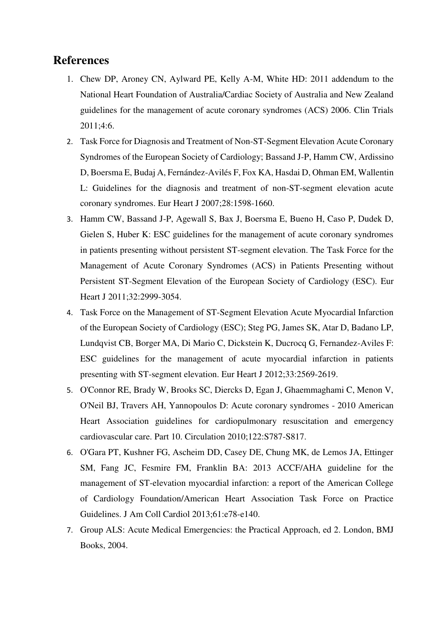## **References**

- 1. Chew DP, Aroney CN, Aylward PE, Kelly A-M, White HD: 2011 addendum to the National Heart Foundation of Australia/Cardiac Society of Australia and New Zealand guidelines for the management of acute coronary syndromes (ACS) 2006. Clin Trials 2011;4:6.
- 2. Task Force for Diagnosis and Treatment of Non-ST-Segment Elevation Acute Coronary Syndromes of the European Society of Cardiology; Bassand J-P, Hamm CW, Ardissino D, Boersma E, Budaj A, Fernández-Avilés F, Fox KA, Hasdai D, Ohman EM, Wallentin L: Guidelines for the diagnosis and treatment of non-ST-segment elevation acute coronary syndromes. Eur Heart J 2007;28:1598-1660.
- 3. Hamm CW, Bassand J-P, Agewall S, Bax J, Boersma E, Bueno H, Caso P, Dudek D, Gielen S, Huber K: ESC guidelines for the management of acute coronary syndromes in patients presenting without persistent ST-segment elevation. The Task Force for the Management of Acute Coronary Syndromes (ACS) in Patients Presenting without Persistent ST-Segment Elevation of the European Society of Cardiology (ESC). Eur Heart J 2011;32:2999-3054.
- 4. Task Force on the Management of ST-Segment Elevation Acute Myocardial Infarction of the European Society of Cardiology (ESC); Steg PG, James SK, Atar D, Badano LP, Lundqvist CB, Borger MA, Di Mario C, Dickstein K, Ducrocq G, Fernandez-Aviles F: ESC guidelines for the management of acute myocardial infarction in patients presenting with ST-segment elevation. Eur Heart J 2012;33:2569-2619.
- 5. O'Connor RE, Brady W, Brooks SC, Diercks D, Egan J, Ghaemmaghami C, Menon V, O'Neil BJ, Travers AH, Yannopoulos D: Acute coronary syndromes - 2010 American Heart Association guidelines for cardiopulmonary resuscitation and emergency cardiovascular care. Part 10. Circulation 2010;122:S787-S817.
- 6. O'Gara PT, Kushner FG, Ascheim DD, Casey DE, Chung MK, de Lemos JA, Ettinger SM, Fang JC, Fesmire FM, Franklin BA: 2013 ACCF/AHA guideline for the management of ST-elevation myocardial infarction: a report of the American College of Cardiology Foundation/American Heart Association Task Force on Practice Guidelines. J Am Coll Cardiol 2013;61:e78-e140.
- 7. Group ALS: Acute Medical Emergencies: the Practical Approach, ed 2. London, BMJ Books, 2004.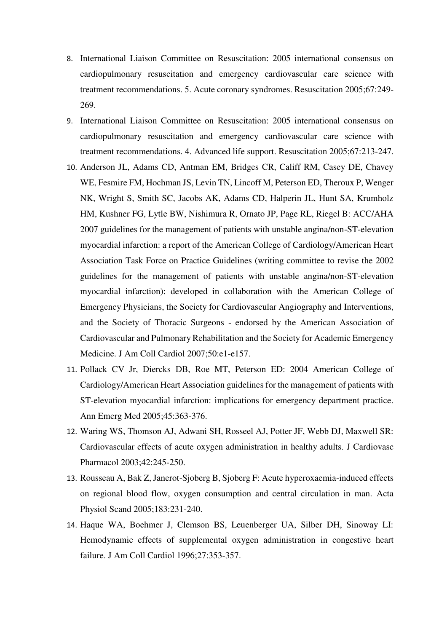- 8. International Liaison Committee on Resuscitation: 2005 international consensus on cardiopulmonary resuscitation and emergency cardiovascular care science with treatment recommendations. 5. Acute coronary syndromes. Resuscitation 2005;67:249- 269.
- 9. International Liaison Committee on Resuscitation: 2005 international consensus on cardiopulmonary resuscitation and emergency cardiovascular care science with treatment recommendations. 4. Advanced life support. Resuscitation 2005;67:213-247.
- 10. Anderson JL, Adams CD, Antman EM, Bridges CR, Califf RM, Casey DE, Chavey WE, Fesmire FM, Hochman JS, Levin TN, Lincoff M, Peterson ED, Theroux P, Wenger NK, Wright S, Smith SC, Jacobs AK, Adams CD, Halperin JL, Hunt SA, Krumholz HM, Kushner FG, Lytle BW, Nishimura R, Ornato JP, Page RL, Riegel B: ACC/AHA 2007 guidelines for the management of patients with unstable angina/non-ST-elevation myocardial infarction: a report of the American College of Cardiology/American Heart Association Task Force on Practice Guidelines (writing committee to revise the 2002 guidelines for the management of patients with unstable angina/non-ST-elevation myocardial infarction): developed in collaboration with the American College of Emergency Physicians, the Society for Cardiovascular Angiography and Interventions, and the Society of Thoracic Surgeons - endorsed by the American Association of Cardiovascular and Pulmonary Rehabilitation and the Society for Academic Emergency Medicine. J Am Coll Cardiol 2007;50:e1-e157.
- 11. Pollack CV Jr, Diercks DB, Roe MT, Peterson ED: 2004 American College of Cardiology/American Heart Association guidelines for the management of patients with ST-elevation myocardial infarction: implications for emergency department practice. Ann Emerg Med 2005;45:363-376.
- 12. Waring WS, Thomson AJ, Adwani SH, Rosseel AJ, Potter JF, Webb DJ, Maxwell SR: Cardiovascular effects of acute oxygen administration in healthy adults. J Cardiovasc Pharmacol 2003;42:245-250.
- 13. Rousseau A, Bak Z, Janerot-Sjoberg B, Sjoberg F: Acute hyperoxaemia-induced effects on regional blood flow, oxygen consumption and central circulation in man. Acta Physiol Scand 2005;183:231-240.
- 14. Haque WA, Boehmer J, Clemson BS, Leuenberger UA, Silber DH, Sinoway LI: Hemodynamic effects of supplemental oxygen administration in congestive heart failure. J Am Coll Cardiol 1996;27:353-357.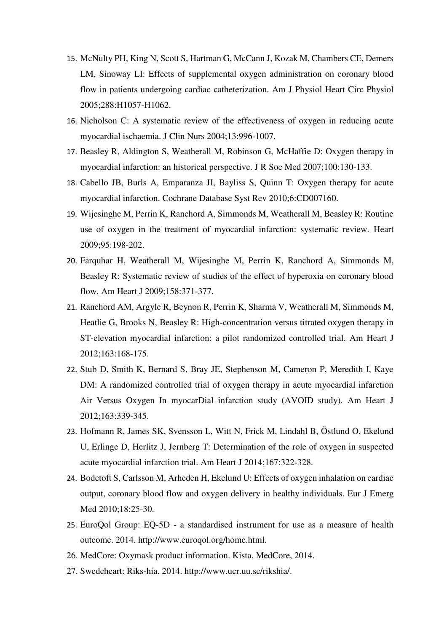- 15. McNulty PH, King N, Scott S, Hartman G, McCann J, Kozak M, Chambers CE, Demers LM, Sinoway LI: Effects of supplemental oxygen administration on coronary blood flow in patients undergoing cardiac catheterization. Am J Physiol Heart Circ Physiol 2005;288:H1057-H1062.
- 16. Nicholson C: A systematic review of the effectiveness of oxygen in reducing acute myocardial ischaemia. J Clin Nurs 2004;13:996-1007.
- 17. Beasley R, Aldington S, Weatherall M, Robinson G, McHaffie D: Oxygen therapy in myocardial infarction: an historical perspective. J R Soc Med 2007;100:130-133.
- 18. Cabello JB, Burls A, Emparanza JI, Bayliss S, Quinn T: Oxygen therapy for acute myocardial infarction. Cochrane Database Syst Rev 2010;6:CD007160.
- 19. Wijesinghe M, Perrin K, Ranchord A, Simmonds M, Weatherall M, Beasley R: Routine use of oxygen in the treatment of myocardial infarction: systematic review. Heart 2009;95:198-202.
- 20. Farquhar H, Weatherall M, Wijesinghe M, Perrin K, Ranchord A, Simmonds M, Beasley R: Systematic review of studies of the effect of hyperoxia on coronary blood flow. Am Heart J 2009;158:371-377.
- 21. Ranchord AM, Argyle R, Beynon R, Perrin K, Sharma V, Weatherall M, Simmonds M, Heatlie G, Brooks N, Beasley R: High-concentration versus titrated oxygen therapy in ST-elevation myocardial infarction: a pilot randomized controlled trial. Am Heart J 2012;163:168-175.
- 22. Stub D, Smith K, Bernard S, Bray JE, Stephenson M, Cameron P, Meredith I, Kaye DM: A randomized controlled trial of oxygen therapy in acute myocardial infarction Air Versus Oxygen In myocarDial infarction study (AVOID study). Am Heart J 2012;163:339-345.
- 23. Hofmann R, James SK, Svensson L, Witt N, Frick M, Lindahl B, Östlund O, Ekelund U, Erlinge D, Herlitz J, Jernberg T: Determination of the role of oxygen in suspected acute myocardial infarction trial. Am Heart J 2014;167:322-328.
- 24. Bodetoft S, Carlsson M, Arheden H, Ekelund U: Effects of oxygen inhalation on cardiac output, coronary blood flow and oxygen delivery in healthy individuals. Eur J Emerg Med 2010;18:25-30.
- 25. EuroQol Group: EQ-5D a standardised instrument for use as a measure of health outcome. 2014. http://www.euroqol.org/home.html.
- 26. MedCore: Oxymask product information. Kista, MedCore, 2014.
- 27. Swedeheart: Riks-hia. 2014. http://www.ucr.uu.se/rikshia/.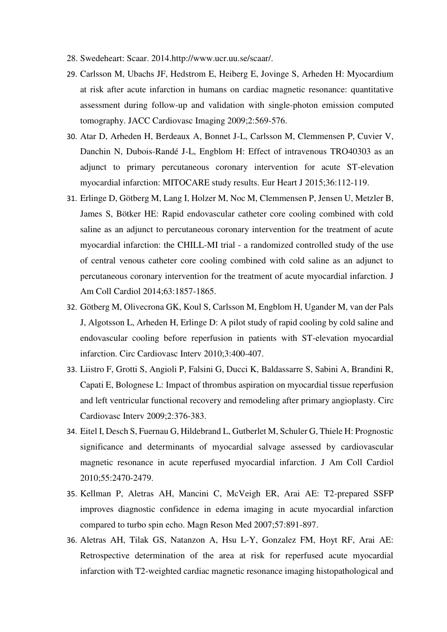- 28. Swedeheart: Scaar. 2014.http://www.ucr.uu.se/scaar/.
- 29. Carlsson M, Ubachs JF, Hedstrom E, Heiberg E, Jovinge S, Arheden H: Myocardium at risk after acute infarction in humans on cardiac magnetic resonance: quantitative assessment during follow-up and validation with single-photon emission computed tomography. JACC Cardiovasc Imaging 2009;2:569-576.
- 30. Atar D, Arheden H, Berdeaux A, Bonnet J-L, Carlsson M, Clemmensen P, Cuvier V, Danchin N, Dubois-Randé J-L, Engblom H: Effect of intravenous TRO40303 as an adjunct to primary percutaneous coronary intervention for acute ST-elevation myocardial infarction: MITOCARE study results. Eur Heart J 2015;36:112-119.
- 31. Erlinge D, Götberg M, Lang I, Holzer M, Noc M, Clemmensen P, Jensen U, Metzler B, James S, Bötker HE: Rapid endovascular catheter core cooling combined with cold saline as an adjunct to percutaneous coronary intervention for the treatment of acute myocardial infarction: the CHILL-MI trial - a randomized controlled study of the use of central venous catheter core cooling combined with cold saline as an adjunct to percutaneous coronary intervention for the treatment of acute myocardial infarction. J Am Coll Cardiol 2014;63:1857-1865.
- 32. Götberg M, Olivecrona GK, Koul S, Carlsson M, Engblom H, Ugander M, van der Pals J, Algotsson L, Arheden H, Erlinge D: A pilot study of rapid cooling by cold saline and endovascular cooling before reperfusion in patients with ST-elevation myocardial infarction. Circ Cardiovasc Interv 2010;3:400-407.
- 33. Liistro F, Grotti S, Angioli P, Falsini G, Ducci K, Baldassarre S, Sabini A, Brandini R, Capati E, Bolognese L: Impact of thrombus aspiration on myocardial tissue reperfusion and left ventricular functional recovery and remodeling after primary angioplasty. Circ Cardiovasc Interv 2009;2:376-383.
- 34. Eitel I, Desch S, Fuernau G, Hildebrand L, Gutberlet M, Schuler G, Thiele H: Prognostic significance and determinants of myocardial salvage assessed by cardiovascular magnetic resonance in acute reperfused myocardial infarction. J Am Coll Cardiol 2010;55:2470-2479.
- 35. Kellman P, Aletras AH, Mancini C, McVeigh ER, Arai AE: T2-prepared SSFP improves diagnostic confidence in edema imaging in acute myocardial infarction compared to turbo spin echo. Magn Reson Med 2007;57:891-897.
- 36. Aletras AH, Tilak GS, Natanzon A, Hsu L-Y, Gonzalez FM, Hoyt RF, Arai AE: Retrospective determination of the area at risk for reperfused acute myocardial infarction with T2-weighted cardiac magnetic resonance imaging histopathological and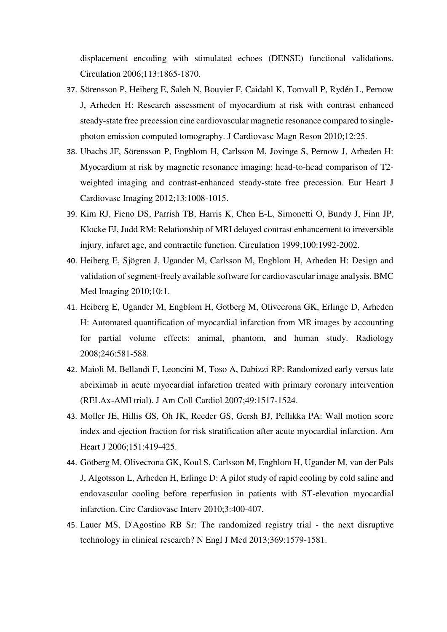displacement encoding with stimulated echoes (DENSE) functional validations. Circulation 2006;113:1865-1870.

- 37. Sörensson P, Heiberg E, Saleh N, Bouvier F, Caidahl K, Tornvall P, Rydén L, Pernow J, Arheden H: Research assessment of myocardium at risk with contrast enhanced steady-state free precession cine cardiovascular magnetic resonance compared to singlephoton emission computed tomography. J Cardiovasc Magn Reson 2010;12:25.
- 38. Ubachs JF, Sörensson P, Engblom H, Carlsson M, Jovinge S, Pernow J, Arheden H: Myocardium at risk by magnetic resonance imaging: head-to-head comparison of T2 weighted imaging and contrast-enhanced steady-state free precession. Eur Heart J Cardiovasc Imaging 2012;13:1008-1015.
- 39. Kim RJ, Fieno DS, Parrish TB, Harris K, Chen E-L, Simonetti O, Bundy J, Finn JP, Klocke FJ, Judd RM: Relationship of MRI delayed contrast enhancement to irreversible injury, infarct age, and contractile function. Circulation 1999;100:1992-2002.
- 40. Heiberg E, Sjögren J, Ugander M, Carlsson M, Engblom H, Arheden H: Design and validation of segment-freely available software for cardiovascular image analysis. BMC Med Imaging 2010;10:1.
- 41. Heiberg E, Ugander M, Engblom H, Gotberg M, Olivecrona GK, Erlinge D, Arheden H: Automated quantification of myocardial infarction from MR images by accounting for partial volume effects: animal, phantom, and human study. Radiology 2008;246:581-588.
- 42. Maioli M, Bellandi F, Leoncini M, Toso A, Dabizzi RP: Randomized early versus late abciximab in acute myocardial infarction treated with primary coronary intervention (RELAx-AMI trial). J Am Coll Cardiol 2007;49:1517-1524.
- 43. Moller JE, Hillis GS, Oh JK, Reeder GS, Gersh BJ, Pellikka PA: Wall motion score index and ejection fraction for risk stratification after acute myocardial infarction. Am Heart J 2006;151:419-425.
- 44. Götberg M, Olivecrona GK, Koul S, Carlsson M, Engblom H, Ugander M, van der Pals J, Algotsson L, Arheden H, Erlinge D: A pilot study of rapid cooling by cold saline and endovascular cooling before reperfusion in patients with ST-elevation myocardial infarction. Circ Cardiovasc Interv 2010;3:400-407.
- 45. Lauer MS, D'Agostino RB Sr: The randomized registry trial the next disruptive technology in clinical research? N Engl J Med 2013;369:1579-1581.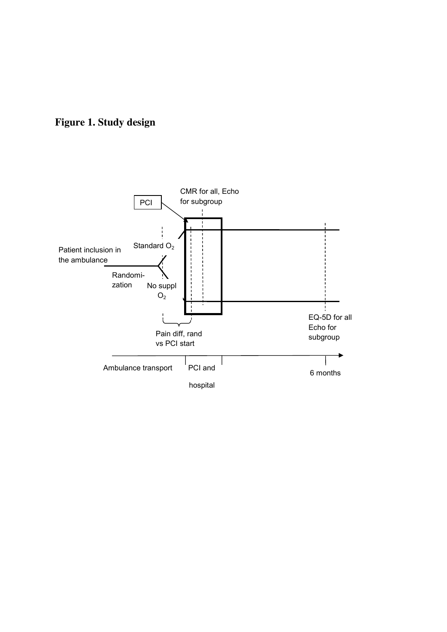

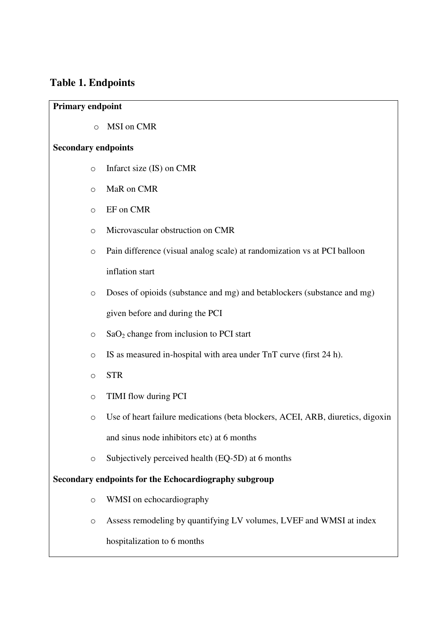## **Table 1. Endpoints**

### **Primary endpoint**

o MSI on CMR

#### **Secondary endpoints**

- o Infarct size (IS) on CMR
- o MaR on CMR
- o EF on CMR
- o Microvascular obstruction on CMR
- o Pain difference (visual analog scale) at randomization vs at PCI balloon inflation start
- o Doses of opioids (substance and mg) and betablockers (substance and mg) given before and during the PCI
- $\circ$  SaO<sub>2</sub> change from inclusion to PCI start
- o IS as measured in-hospital with area under TnT curve (first 24 h).
- o STR
- o TIMI flow during PCI
- o Use of heart failure medications (beta blockers, ACEI, ARB, diuretics, digoxin and sinus node inhibitors etc) at 6 months
- o Subjectively perceived health (EQ-5D) at 6 months

### **Secondary endpoints for the Echocardiography subgroup**

- o WMSI on echocardiography
- o Assess remodeling by quantifying LV volumes, LVEF and WMSI at index

hospitalization to 6 months